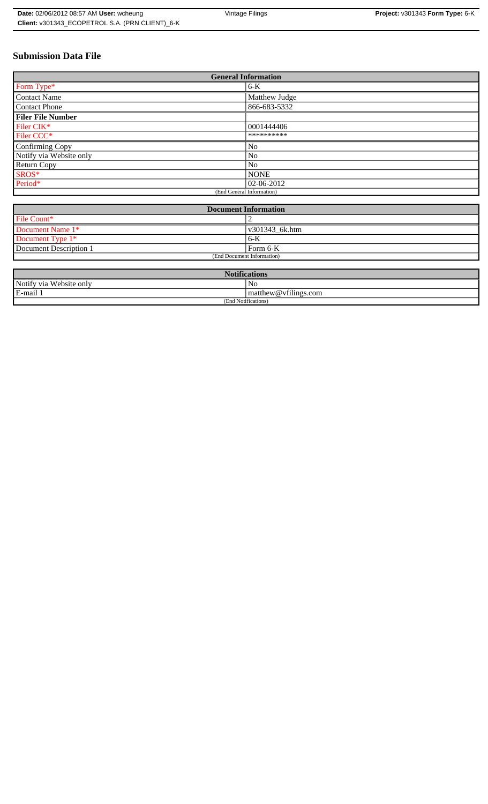# **Submission Data File**

| <b>General Information</b> |                |
|----------------------------|----------------|
| Form Type*                 | $6-K$          |
| <b>Contact Name</b>        | Matthew Judge  |
| <b>Contact Phone</b>       | 866-683-5332   |
| <b>Filer File Number</b>   |                |
| Filer CIK*                 | 0001444406     |
| Filer CCC <sup>*</sup>     | **********     |
| Confirming Copy            | N <sub>0</sub> |
| Notify via Website only    | No             |
| Return Copy                | No             |
| $SROS*$                    | <b>NONE</b>    |
| Period*                    | $ 02-06-2012 $ |
| (End General Information)  |                |

| <b>Document Information</b>  |                |
|------------------------------|----------------|
| File Count*                  |                |
| Document Name 1 <sup>*</sup> | v301343 6k.htm |
| Document Type $1*$           | $6-K$          |
| Document Description 1       | Form 6-K       |
| (End Document Information)   |                |

| <b>Notifications</b>    |                                |  |
|-------------------------|--------------------------------|--|
| Notify via Website only | No                             |  |
| E-mail 1                | $\vert$ matthew @ vfilings.com |  |
| (End Notifications)     |                                |  |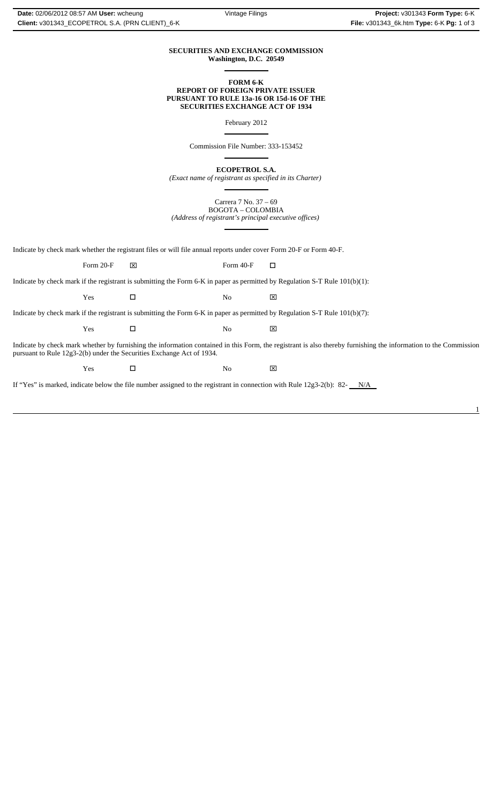1

## **SECURITIES AND EXCHANGE COMMISSION Washington, D.C. 20549**  $\overline{a}$

**FORM 6-K REPORT OF FOREIGN PRIVATE ISSUER PURSUANT TO RULE 13a-16 OR 15d-16 OF THE SECURITIES EXCHANGE ACT OF 1934**

February 2012

Commission File Number: 333-153452

 $\overline{a}$ 

 $\overline{a}$ 

**ECOPETROL S.A.**

*(Exact name of registrant as specified in its Charter)*  $\overline{a}$ 

Carrera 7 No. 37 – 69 BOGOTA – COLOMBIA *(Address of registrant's principal executive offices)*

Indicate by check mark whether the registrant files or will file annual reports under cover Form 20-F or Form 40-F.

Form 20-F  $\boxtimes$  Form 40-F  $\Box$ 

 $\overline{a}$ 

Indicate by check mark if the registrant is submitting the Form 6-K in paper as permitted by Regulation S-T Rule 101(b)(1):

Indicate by check mark if the registrant is submitting the Form 6-K in paper as permitted by Regulation S-T Rule 101(b)(7):

Yes □ No ⊠

 $\Gamma$   $\blacksquare$   $\blacksquare$   $\blacksquare$   $\blacksquare$   $\blacksquare$   $\blacksquare$ 

Indicate by check mark whether by furnishing the information contained in this Form, the registrant is also thereby furnishing the information to the Commission pursuant to Rule 12g3-2(b) under the Securities Exchange Act of 1934.

Yes □ No ⊠

If "Yes" is marked, indicate below the file number assigned to the registrant in connection with Rule 12g3-2(b): 82- $N/A$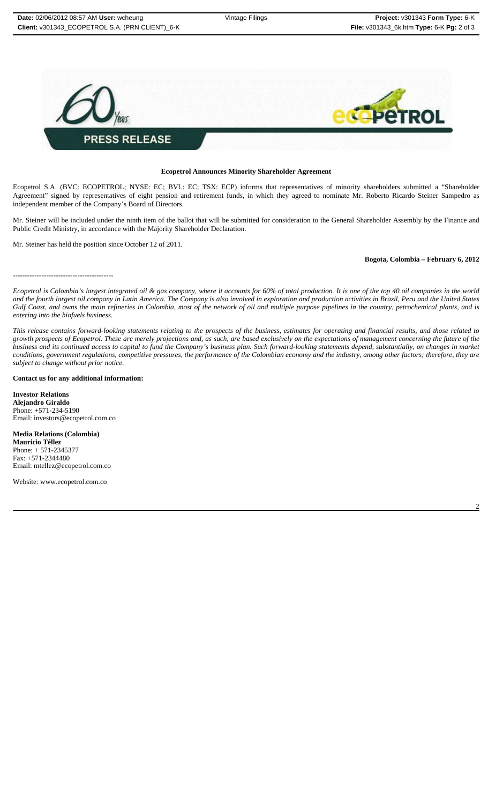

## **Ecopetrol Announces Minority Shareholder Agreement**

Ecopetrol S.A. (BVC: ECOPETROL; NYSE: EC; BVL: EC; TSX: ECP) informs that representatives of minority shareholders submitted a "Shareholder Agreement" signed by representatives of eight pension and retirement funds, in which they agreed to nominate Mr. Roberto Ricardo Steiner Sampedro as independent member of the Company's Board of Directors.

Mr. Steiner will be included under the ninth item of the ballot that will be submitted for consideration to the General Shareholder Assembly by the Finance and Public Credit Ministry, in accordance with the Majority Shareholder Declaration.

Mr. Steiner has held the position since October 12 of 2011.

## **Bogota, Colombia – February 6, 2012**

------------------------------------------

*Ecopetrol is Colombia's largest integrated oil & gas company, where it accounts for 60% of total production. It is one of the top 40 oil companies in the world and the fourth largest oil company in Latin America. The Company is also involved in exploration and production activities in Brazil, Peru and the United States Gulf Coast, and owns the main refineries in Colombia, most of the network of oil and multiple purpose pipelines in the country, petrochemical plants, and is entering into the biofuels business.*

*This release contains forward-looking statements relating to the prospects of the business, estimates for operating and financial results, and those related to growth prospects of Ecopetrol. These are merely projections and, as such, are based exclusively on the expectations of management concerning the future of the business and its continued access to capital to fund the Company's business plan. Such forward-looking statements depend, substantially, on changes in market conditions, government regulations, competitive pressures, the performance of the Colombian economy and the industry, among other factors; therefore, they are subject to change without prior notice.*

#### **Contact us for any additional information:**

**Investor Relations Alejandro Giraldo** Phone: +571-234-5190 Email: investors@ecopetrol.com.co

**Media Relations (Colombia) Mauricio Téllez** Phone: + 571-2345377 Fax: +571-2344480 Email: mtellez@ecopetrol.com.co

Website: www.ecopetrol.com.co